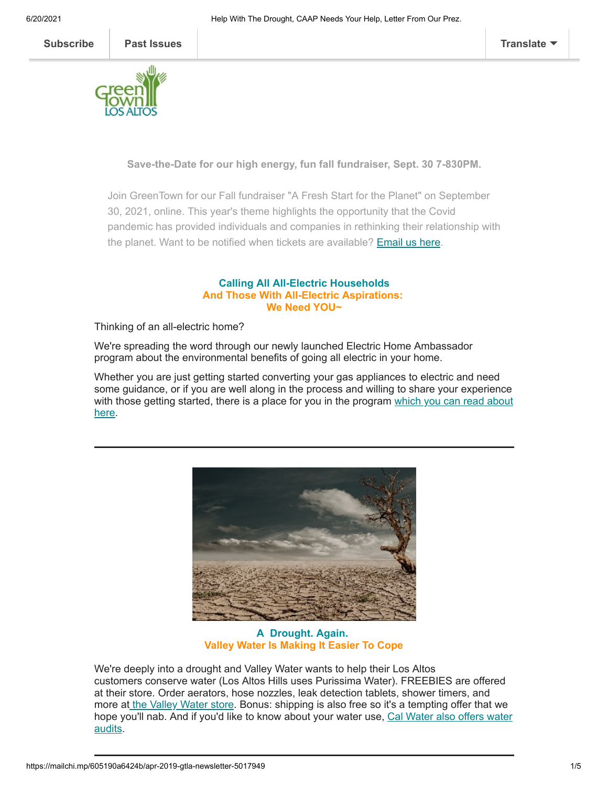

**Save-the-Date for our high energy, fun fall fundraiser, Sept. 30 7-830PM.**

Join GreenTown for our Fall fundraiser "A Fresh Start for the Planet" on September 30, 2021, online. This year's theme highlights the opportunity that the Covid pandemic has provided individuals and companies in rethinking their relationship with the planet. Want to be notified when tickets are available? **[Email us here.](mailto:info@greentownlosaltos.org?subject=I%27d%20like%20info%20on%20your%20fundraiser)** 

## **Calling All All-Electric Households And Those With All-Electric Aspirations: We Need YOU~**

Thinking of an all-electric home?

We're spreading the word through our newly launched Electric Home Ambassador program about the environmental benefits of going all electric in your home.

Whether you are just getting started converting your gas appliances to electric and need some guidance, or if you are well along in the process and willing to share your experience [with those getting started, there is a place for you in the program which you can read about](https://www.greentownlosaltos.org/post/your-chance-to-become-an-ambassador) here.



**A Drought. Again. Valley Water Is Making It Easier To Cope**

We're deeply into a drought and Valley Water wants to help their Los Altos customers conserve water (Los Altos Hills uses Purissima Water). FREEBIES are offered at their store. Order aerators, hose nozzles, leak detection tablets, shower timers, and more a[t](https://www.valleywater.org/water-conservation-programs) [the Valley Water stor](https://cloud.valleywater.org/ords/r/appweb/shopping-cart/store)[e](https://www.valleywater.org/water-conservation-programs). Bonus: shipping is also free so it's a tempting offer that we [hope you'll nab. And if you'd like to know about your water use,](https://www.calwater.com/conservation/tuneup/) Cal Water also offers water audits.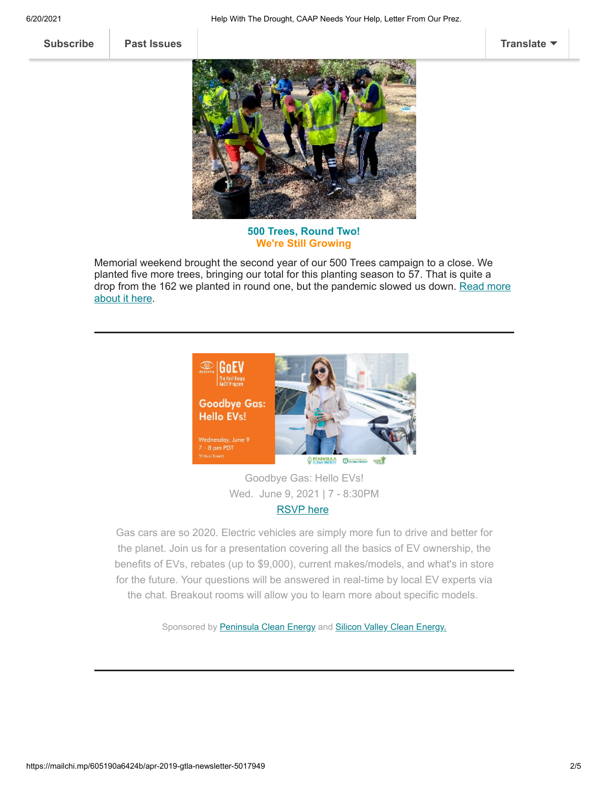6/20/2021 Help With The Drought, CAAP Needs Your Help, Letter From Our Prez.

**[Subscribe](http://eepurl.com/cm9q9b) [Past Issues](https://us5.campaign-archive.com/home/?u=ed40313cb8798acef49a6faa8&id=bcf3e43825) [Translate](javascript:;)**



**500 Trees, Round Two! We're Still Growing**

Memorial weekend brought the second year of our 500 Trees campaign to a close. We planted five more trees, bringing our total for this planting season to 57. That is quite a [drop from the 162 we planted in round one, but the pandemic slowed us down. Read more](https://www.greentownlosaltos.org/post/500-trees-round-two-still-growing) about it here.



Goodbye Gas: Hello EVs! Wed. June 9, 2021 | 7 - 8:30PM

[RSVP here](https://www.eventbrite.com/e/goodbye-gas-hello-evs-registration-151904100253?aff=GTLA)

Gas cars are so 2020. Electric vehicles are simply more fun to drive and better for the planet. Join us for a presentation covering all the basics of EV ownership, the benefits of EVs, rebates (up to \$9,000), current makes/models, and what's in store for the future. Your questions will be answered in real-time by local EV experts via the chat. Breakout rooms will allow you to learn more about specific models.

Sponsored by [Peninsula Clean Energy](https://www.peninsulacleanenergy.com/) and [Silicon Valley Clean Energy.](https://www.svcleanenergy.org/)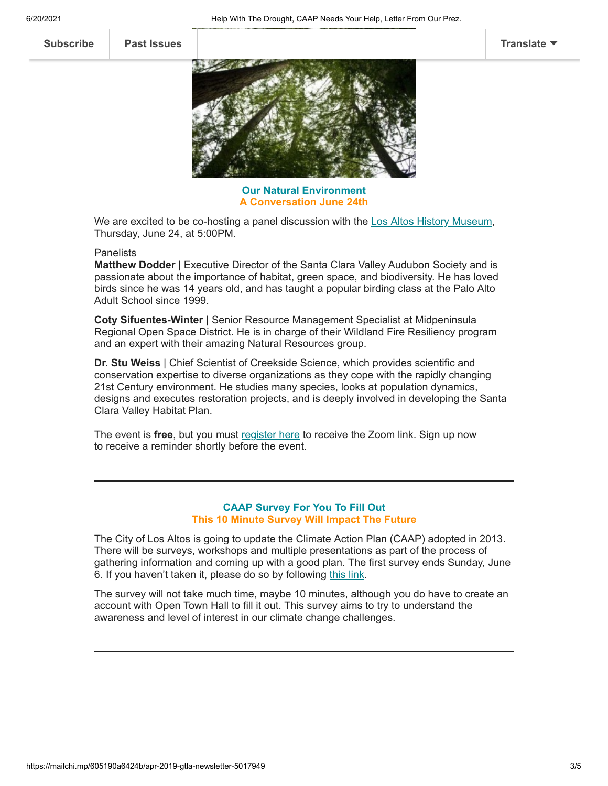

**Our Natural Environment A Conversation June 24th**

We are excited to be co-hosting a panel discussion with the [Los Altos History Museum](https://www.losaltoshistory.org/), Thursday, June 24, at 5:00PM.

## Panelists

**Matthew Dodder** | Executive Director of the Santa Clara Valley Audubon Society and is passionate about the importance of habitat, green space, and biodiversity. He has loved birds since he was 14 years old, and has taught a popular birding class at the Palo Alto Adult School since 1999.

**Coty Sifuentes-Winter |** Senior Resource Management Specialist at Midpeninsula Regional Open Space District. He is in charge of their Wildland Fire Resiliency program and an expert with their amazing Natural Resources group.

**Dr. Stu Weiss** | Chief Scientist of Creekside Science, which provides scientific and conservation expertise to diverse organizations as they cope with the rapidly changing 21st Century environment. He studies many species, looks at population dynamics, designs and executes restoration projects, and is deeply involved in developing the Santa Clara Valley Habitat Plan.

The event is **free**, but you must [register here](https://www.losaltoshistory.org/events/los-altos-goes-green/) to receive the Zoom link. Sign up now to receive a reminder shortly before the event.

## **CAAP Survey For You To Fill Out This 10 Minute Survey Will Impact The Future**

The City of Los Altos is going to update the Climate Action Plan (CAAP) adopted in 2013. There will be surveys, workshops and multiple presentations as part of the process of gathering information and coming up with a good plan. The first survey ends Sunday, June 6. If you haven't taken it, please do so by following [this link.](https://www.opentownhall.com/portals/225/Issue_10515)

The survey will not take much time, maybe 10 minutes, although you do have to create an account with Open Town Hall to fill it out. This survey aims to try to understand the awareness and level of interest in our climate change challenges.